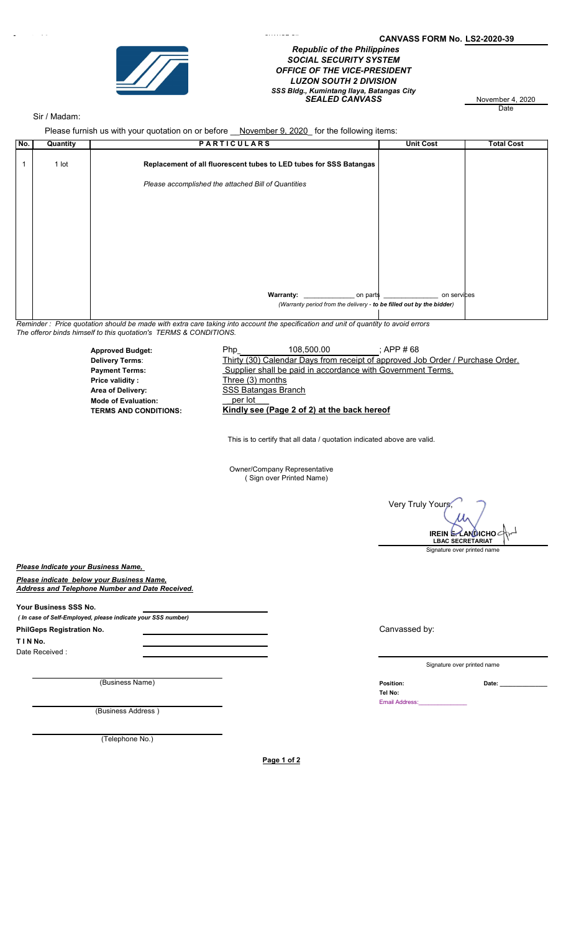

## Page 1 of 2 CANVASS FORM No. LS2-2020-39 Republic of the Philippines SOCIAL SECURITY SYSTEM OFFICE OF THE VICE-PRESIDENT LUZON SOUTH 2 DIVISION SEALED CANVASS November 4, 2020 SSS Bldg., Kumintang Ilaya, Batangas City

**Date** 

## Sir / Madam:

Please furnish us with your quotation on or before \_\_November 9, 2020 for the following items:

| No. | Quantity | <b>PARTICULARS</b>                                                   | <b>Unit Cost</b> | <b>Total Cost</b> |  |
|-----|----------|----------------------------------------------------------------------|------------------|-------------------|--|
|     | 1 lot    | Replacement of all fluorescent tubes to LED tubes for SSS Batangas   |                  |                   |  |
|     |          | Please accomplished the attached Bill of Quantities                  |                  |                   |  |
|     |          |                                                                      |                  |                   |  |
|     |          |                                                                      |                  |                   |  |
|     |          |                                                                      |                  |                   |  |
|     |          |                                                                      |                  |                   |  |
|     |          |                                                                      |                  |                   |  |
|     |          |                                                                      |                  |                   |  |
|     |          |                                                                      |                  |                   |  |
|     |          |                                                                      |                  |                   |  |
|     |          | Warranty: on parts                                                   | on services      |                   |  |
|     |          | (Warranty period from the delivery - to be filled out by the bidder) |                  |                   |  |
|     |          |                                                                      |                  |                   |  |

Reminder : Price quotation should be made with extra care taking into account the specification and unit of quantity to avoid errors The offeror binds himself to this quotation's TERMS & CONDITIONS.

> Approved Budget: 108,500.00 ; APP # 68 Thirty (30) Calendar Days from receipt of approved Job Order / Purchase Order. Payment Terms: Supplier shall be paid in accordance with Government Terms.<br>Price validity: Three (3) months Three (3) months Area of Delivery: Mode of Evaluation: \_per lot\_\_\_ Kindly see (Page 2 of 2) at the back hereof 108,500.00 Delivery Terms: SSS Batangas Branch

> > This is to certify that all data / quotation indicated above are valid.

Owner/Company Representative ( Sign over Printed Name)

**Very Truly Yours** Signature over printed name IREIN  $L$ AN $\theta$ ICHO $\epsilon$ LBAC SECRETARIAT

Please Indicate your Business Name,

Please indicate below your Business Name, Address and Telephone Number and Date Received.

Your Business SSS No.

( In case of Self-Employed, please indicate your SSS number)

PhilGeps Registration No.

T I N No. Date Received :

(Business Name) **Date:** <u>Date:</u> Position: **Date:** 2

(Business Address )

(Telephone No.)

Page 1 of 2

Canvassed by:

Signature over printed name

Tel No:

Email Address: